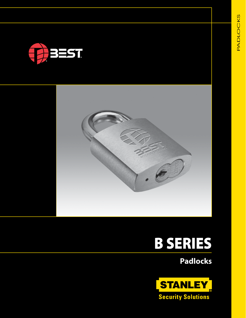



# B SERIES

**Padlocks**

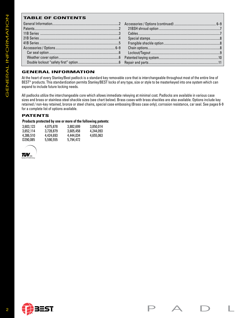# **TABLE OF CONTENTS**

| <b>TABLE OF CONTENTS</b>                                                                                                                                                                                                                                                                                                                                                                                                                                                                                                                                                                                                                                                                                                                                                                                                                                                        |                        |                        |  |     |  |
|---------------------------------------------------------------------------------------------------------------------------------------------------------------------------------------------------------------------------------------------------------------------------------------------------------------------------------------------------------------------------------------------------------------------------------------------------------------------------------------------------------------------------------------------------------------------------------------------------------------------------------------------------------------------------------------------------------------------------------------------------------------------------------------------------------------------------------------------------------------------------------|------------------------|------------------------|--|-----|--|
|                                                                                                                                                                                                                                                                                                                                                                                                                                                                                                                                                                                                                                                                                                                                                                                                                                                                                 |                        |                        |  |     |  |
|                                                                                                                                                                                                                                                                                                                                                                                                                                                                                                                                                                                                                                                                                                                                                                                                                                                                                 |                        |                        |  |     |  |
|                                                                                                                                                                                                                                                                                                                                                                                                                                                                                                                                                                                                                                                                                                                                                                                                                                                                                 |                        |                        |  |     |  |
|                                                                                                                                                                                                                                                                                                                                                                                                                                                                                                                                                                                                                                                                                                                                                                                                                                                                                 |                        |                        |  |     |  |
|                                                                                                                                                                                                                                                                                                                                                                                                                                                                                                                                                                                                                                                                                                                                                                                                                                                                                 |                        |                        |  |     |  |
|                                                                                                                                                                                                                                                                                                                                                                                                                                                                                                                                                                                                                                                                                                                                                                                                                                                                                 |                        |                        |  |     |  |
|                                                                                                                                                                                                                                                                                                                                                                                                                                                                                                                                                                                                                                                                                                                                                                                                                                                                                 |                        |                        |  |     |  |
|                                                                                                                                                                                                                                                                                                                                                                                                                                                                                                                                                                                                                                                                                                                                                                                                                                                                                 |                        |                        |  |     |  |
| <b>GENERAL INFORMATION</b><br>At the heart of every Stanley/Best padlock is a standard key removable core that is interchangeable throughout most of the entire line of<br>BEST <sup>®</sup> products. This standardization permits Stanley/BEST locks of any type, size or style to be masterkeyed into one system which can<br>expand to include future locking needs.<br>All padlocks utilize the interchangeable core which allows immediate rekeying at minimal cost. Padlocks are available in various case<br>sizes and brass or stainless steel shackle sizes (see chart below). Brass cases with brass shackles are also available. Options include key<br>retained / non-key retained, bronze or steel chains, special case embossing (Brass case only), corrosion resistance, car seal. See pages 6-9<br>for a complete list of options available.<br><b>PATENTS</b> |                        |                        |  |     |  |
| Products protected by one or more of the following patents:                                                                                                                                                                                                                                                                                                                                                                                                                                                                                                                                                                                                                                                                                                                                                                                                                     |                        |                        |  |     |  |
| 3,603,123<br>4,075,878<br>3,652,114<br>3,728,879                                                                                                                                                                                                                                                                                                                                                                                                                                                                                                                                                                                                                                                                                                                                                                                                                                | 3,882,699<br>3,605,458 | 3,850,014<br>4,244,093 |  |     |  |
| 4,386,510<br>4,424,693                                                                                                                                                                                                                                                                                                                                                                                                                                                                                                                                                                                                                                                                                                                                                                                                                                                          | 4,444,034              | 4,655,063              |  |     |  |
| D290,085<br>5,590,555                                                                                                                                                                                                                                                                                                                                                                                                                                                                                                                                                                                                                                                                                                                                                                                                                                                           | 5,794,472              |                        |  |     |  |
|                                                                                                                                                                                                                                                                                                                                                                                                                                                                                                                                                                                                                                                                                                                                                                                                                                                                                 |                        |                        |  |     |  |
|                                                                                                                                                                                                                                                                                                                                                                                                                                                                                                                                                                                                                                                                                                                                                                                                                                                                                 |                        |                        |  |     |  |
| <b>ED</b> BEST                                                                                                                                                                                                                                                                                                                                                                                                                                                                                                                                                                                                                                                                                                                                                                                                                                                                  |                        |                        |  | A D |  |

# **GENERAL INFORMATION**

# **PATENTS**

### **Products protected by one or more of the following patents:**

| 3.603.123            | 4,075,878 | 3,882,699 | 3,850,014 |
|----------------------|-----------|-----------|-----------|
| 3.652.114            | 3.728.879 | 3.605.458 | 4,244,093 |
| 4.386.510            | 4,424,693 | 4,444,034 | 4,655,063 |
| D <sub>290.085</sub> | 5,590,555 | 5.794.472 |           |



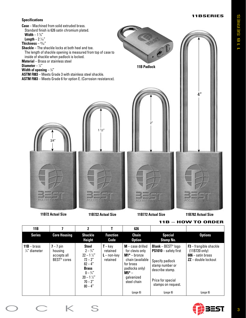



**11B782 Actual Size**

|  |  |  |  |  | $11B - HOW TO OPDER$ |
|--|--|--|--|--|----------------------|
|--|--|--|--|--|----------------------|

| 11B                                              |                                                                  | 2                                                                                                                                                                          |                                                           | 626                                                                                                                                               |                                                                                                                                                                      |                                                                                                     |
|--------------------------------------------------|------------------------------------------------------------------|----------------------------------------------------------------------------------------------------------------------------------------------------------------------------|-----------------------------------------------------------|---------------------------------------------------------------------------------------------------------------------------------------------------|----------------------------------------------------------------------------------------------------------------------------------------------------------------------|-----------------------------------------------------------------------------------------------------|
| <b>Series</b>                                    | <b>Core Housing</b>                                              | <b>Shackle</b><br><b>Height</b>                                                                                                                                            | <b>Function</b><br>Code                                   | <b>Chain</b><br><b>Option</b>                                                                                                                     | <b>Special</b><br><b>Stamp No.</b>                                                                                                                                   | <b>Options</b>                                                                                      |
| $11B - \text{brass}$<br>$\frac{1}{4}$ " diameter | $7 - 7$ pin<br>housing<br>accepts all<br>BEST <sup>®</sup> cores | <b>Steel</b><br>$2 - \frac{3}{4}$<br>$22 - 1\frac{1}{2}$<br>$72 - 2''$<br>$82 - 4"$<br><b>Brass</b><br>$0 - \frac{3}{4}$<br>$20 - 1\frac{1}{2}$<br>$70 - 2''$<br>$80 - 4"$ | $T - \text{key}$<br>retained<br>$L$ – non-key<br>retained | $M - \case$ drilled<br>for clevis only<br>$M1* -$ bronze<br>chain (available<br>for brass<br>padlocks only)<br>M5* –<br>galvanized<br>steel chain | <b>Blank</b> - BEST <sup>®</sup> $logo$<br>PS1010 - safety first<br>Specify padlock<br>stamp number or<br>describe stamp.<br>Price for special<br>stamps on request. | $F3$ – frangible shackle<br>$(11B720 \text{ only})$<br>$606 -$ satin brass<br>$ZZ -$ double lockout |
|                                                  |                                                                  |                                                                                                                                                                            |                                                           | $\left( \text{page } 8 \right)$                                                                                                                   | $\left( \text{page } 8 \right)$                                                                                                                                      | $\left( \text{page } 8 \right)$                                                                     |

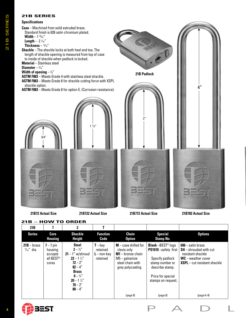# **21B SERIES**

#### **Specifications**

**Case** – Machined from solid extruded brass. Standard finish is 626 satin chromium plated. **Width** – 1 25⁄32"

**Length** –  $2\frac{1}{16}$ 

**Thickness** – 13⁄16"

**Shackle** – The shackle locks at both heel and toe. The length of shackle opening is measured from top of case to inside of shackle when padlock is locked.

**Material** – Stainless steel

#### **Diameter** – 1/16"

#### **Width of opening** – 7 ⁄8"

**ASTM F883** – Meets Grade 4 with stainless steel shackle.

**ASTM F883** – Meets Grade 6 for shackle cutting force with XSPL shackle option.

**ASTM F883** – Meets Grade 6 for option E. (Corrosion resistance).









**21B – HOW TO ORDER 21B 7 2 T Series Core Housing Shackle Height Function Code Chain Option Special Stamp No. Options**  $21B - b$ rass  $\frac{5}{16}$ " dia. **7** – 7 pin housing accepts all BEST® cores **Steel**  $2 - \frac{3}{4}$ " **21** – 1" w/shroud **22** – 1 1 ⁄2" **72** – 2" **82** – 4" **Brass**  $0 - \frac{3}{4}$ " **20** – 1  $\frac{1}{2}$ **70** – 2" **80** – 4"  $T - key$ retained **L** – non-key retained **M** – case drilled for clevis only **M1** – bronze chain M5 – galvanize steel chain with grey polycoating **Blank** –BEST® logo **PS1010** –safety first Specify padlock stamp number or describe stamp. Price for special stamps on request. **606** – satin brass **SH** – shrouded with cut resistant shackle **WC** – weather cover **XSPL** – cut resistant shackle  $(page 8)$   $(page 8)$   $(page 6-9)$ 



ES 21B SERIES 21B SERII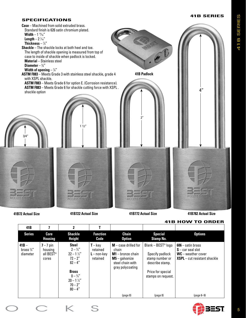### **41B SERIES**



|                                              |                                                          |                                                                                                                                                                                        |                                                           |                                                                                                                     |                                                                                                                                    | 419 NUVV TU UNDEN                                                                                         |
|----------------------------------------------|----------------------------------------------------------|----------------------------------------------------------------------------------------------------------------------------------------------------------------------------------------|-----------------------------------------------------------|---------------------------------------------------------------------------------------------------------------------|------------------------------------------------------------------------------------------------------------------------------------|-----------------------------------------------------------------------------------------------------------|
| 41B                                          |                                                          | $\mathbf{2}$                                                                                                                                                                           |                                                           |                                                                                                                     |                                                                                                                                    |                                                                                                           |
| <b>Series</b>                                | Core<br><b>Housing</b>                                   | <b>Shackle</b><br><b>Height</b>                                                                                                                                                        | <b>Function</b><br>Code                                   | <b>Chain</b><br><b>Option</b>                                                                                       | <b>Special</b><br><b>Stamp No.</b>                                                                                                 | <b>Options</b>                                                                                            |
| $41B -$<br>brass $\frac{3}{8}$ "<br>diameter | $7 - 7$ pin<br>housing<br>all BEST <sup>®</sup><br>cores | <b>Steel</b><br>$2 - \frac{3}{4}$<br>$22 - 1\frac{1}{2}$<br>$72 - 2^{\prime\prime}$<br>$82 - 4"$<br><b>Brass</b><br>$0 - \frac{3}{4}$<br>$20 - 1\frac{1}{2}$<br>$70 - 2"$<br>$80 - 4"$ | $T - \text{key}$<br>retained<br>$L$ – non-key<br>retained | $M - \case$ drilled for<br>chain<br>$M1 -$ bronze chain<br>$M5 -$ galvanize<br>steel chain with<br>gray polycoating | Blank - BEST <sup>®</sup> logo<br>Specify padlock<br>stamp number or<br>describe stamp.<br>Price for special<br>stamps on request. | $606 -$ satin brass<br>$S$ – car seal slot<br>$WC$ – weather cover<br><b>XSPL</b> – cut resistant shackle |
|                                              |                                                          |                                                                                                                                                                                        |                                                           | $\left( \text{page } 8 \right)$                                                                                     | (page 8)                                                                                                                           | $\frac{1}{2}$ (page 6-9)                                                                                  |

# **41B HOW TO ORDER**

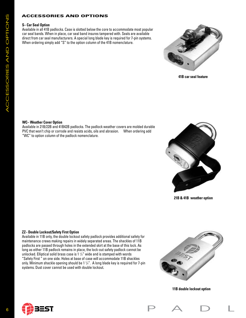# **ACCESSORIES AND OPTIONS**

#### **S– Car Seal Option**

Available in all 41B padlocks. Case is slotted below the core to accommodate most popular car seal bands. When in place, car seal band insures tampered with. Seals are available direct from car seal manufacturers. A special long blade key is required for 7-pin systems. When ordering simply add "S" to the option column of the 41B nomenclature.



**41B car seal feature**

#### **WC– Weather Cover Option**

Available in 21B/22B and 41B42B padlocks. The padlock weather covers are molded durable PVC that won't chip or corrode and resists acids, oils and abrasion. When ordering add "WC" to option column of the padlock nomenclature.



**21B & 41B weather option**

#### **ZZ– Double Lockout/Safety First Option**

Available in 11B only, the double lockout safety padlock provides additional safety for maintenance crews making repairs in widely separated areas. The shackles of 11B padlocks are passed through holes in the extended skirt at the base of this lock. As long as either 11B padlock remains in place, the lock-out safety padlock cannot be unlocked. Elliptical solid brass case is 1  $\frac{1}{2}$ " wide and is stamped with words "Safety First " on one side. Holes at base of case will accommodate 11B shackles only. Minimum shackle opening should be 1 1 /4". A long blade key is required for 7-pin systems. Dust cover cannot be used with double lockout.



**11B double lockout option**

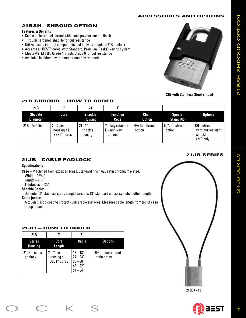# **ACCESSORIES AND OPTIONS**

# **21BSH– SHROUD OPTION**

# **Features & Benefits**

- Cast stainless steel shroud with black powder-coated finish
- Through hardened shackle for cut resistance
- Utilized same internal components and body as standard 21B padlock
- Accepts all BEST® cores, with Standard, Premium, Peaks™ keying system
- Meets ASTM F883 Grade 4; meets Grade 6 for cut resistance
- Available in either key retained or non-key retained



**21B with Stainless Steel Shroud**

# **21B SHROUD – HOW TO ORDER**

| 21B                               |                                           | 21                               |                                                 |                          |                                    |                                                                        |
|-----------------------------------|-------------------------------------------|----------------------------------|-------------------------------------------------|--------------------------|------------------------------------|------------------------------------------------------------------------|
| <b>Shackle</b><br><b>Diameter</b> | Core                                      | <b>Shackle</b><br><b>Housing</b> | <b>Function</b><br>Code                         | Chain<br><b>Option</b>   | <b>Special</b><br><b>Stamp No.</b> | <b>Options</b>                                                         |
| $21B - \frac{5}{16}$ dia.         | $7 - 7$ pin<br>housing all<br>BEST® cores | $21 - 1$ "<br>shackle<br>opening | $T -$ key retained<br>$L - non-kev$<br>retained | N/A for shroud<br>option | N/A for shroud<br>option           | $SH$ – shroud<br>with cut resistant<br>shackle<br>$(21B \text{ only})$ |

# **21JB– CABLE PADLOCK**

# **Specifications**

**Case** – Machined from extruded brass. Standard finish 626 satin chromium plated.

**Width** – 1 25⁄32"

 $Length - 2 <sup>1</sup>/<sub>16</sub>''$ 

**Thickness** –  $\frac{27}{32}$ "

#### **Shackle Cable:**

Diameter 1 ⁄8" stainless steel. Length variable. 18" standard unless specified other length. **Cable jacket:** 

A tough plastic coating protects vulnerable surfaces. Measure cable length from top of case to top of case.

#### **21JB – HOW TO ORDER**

| 21 <sub>B</sub>                 |                                                       | 21                                                                 |                                     |
|---------------------------------|-------------------------------------------------------|--------------------------------------------------------------------|-------------------------------------|
| <b>Series</b><br><b>Housing</b> | Core<br>Length                                        | Cable                                                              | <b>Options</b>                      |
| $21JB - cable$<br>padlock       | $7 - 7$ pin<br>housing all<br>BEST <sup>®</sup> cores | $18 - 18"$<br>$24 - 24"$<br>$36 - 36"$<br>$42 - 42"$<br>$54 - 54"$ | $606 -$ clear coated<br>satin brass |

# **21JB SERIES**



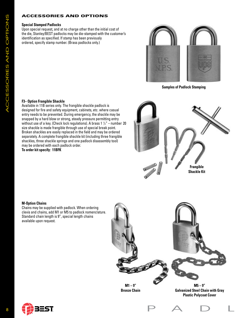# **ACCESSORIES AND OPTIONS**

#### **Special Stamped Padlocks**

Upon special request, and at no charge other than the initial cost of the die, Stanley/BEST padlocks may be die-stamped with the customer's identification as specified. If stamp has been previously ordered, specify stamp number. (Brass padlocks only.)



**Samples of Padlock Stamping**

#### **F3– Option Frangible Shackle**

Available in 11B series only. The frangible shackle padlock is designed for fire and safety equipment, cabinets, etc. where casual entry needs to be prevented. During emergency, the shackle may be snapped by a hard blow or strong, steady pressure permitting entry without use of a key. (Check lock regulations). A brass 1 1 /2" – number 20 size shackle is made frangible through use of special break point. Broken shackles are easily replaced in the field and may be ordered separately. A complete frangible shackle kit (including three frangible shackles, three shackle springs and one padlock disassembly tool) may be ordered with each padlock order. **To order kit specify: 11BFK**



#### **M-Option Chains**

Chains may be supplied with padlock. When ordering clevis and chains, add M1 or M5 to padlock nomenclature. Standard chain length is 9", special length chains available upon request.



**Bronze Chain**

**Galvanized Steel Chain with Gray Plastic Polycoat Cover**







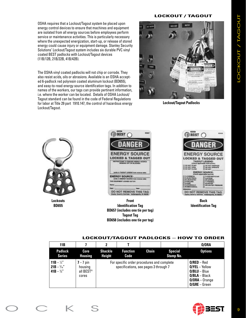OSHA requires that a Lockout/Tagout system be placed upon energy control devices to ensure that machines and equipment are isolated from all energy sources before employees perform service or maintenance activities. This is particularly necessary where the unexpected energization, start-up, or release of stored energy could cause injury or equipment damage. Stanley Security Solutions' Lockout/Tagout system includes six durable PVC vinyl coated BEST padlocks with Lockout/Tagout devices (11B/12B, 21B/22B, 41B/42B).

The OSHA vinyl coated padlocks will not chip or corrode. They also resist acids, oils or abrasions. Available is an OSHA accepted 6-padlock red polyresin coated aluminum lockout (BD655), and easy-to-read energy source identification tags. In addition to names of the workers, our tags can provide pertinent information, i.e. where the worker can be located. Details of OSHA Lockout/ Tagout standard can be found in the code of Federal Regulations for labor at Title 29 part 1910.147, the control of hazardous energy Lockout/Tagout.

## **LOCKOUT / TAGOUT**



**Lockout/Tagout Padlocks**



**Lockouts BD655**



**Front Identification Tag BD657 (includes one tie per tag) Tagout Tag BD658 (includes one tie per tag)**



**Back Identification Tag**

#### **LOCKOUT/TAGOUT PADLOCKS – HOW TO ORDER**

| 11B                                                         |                                                          | 2                               |                                                                                     |       |                                    | 0/0RA                                                                                                         |
|-------------------------------------------------------------|----------------------------------------------------------|---------------------------------|-------------------------------------------------------------------------------------|-------|------------------------------------|---------------------------------------------------------------------------------------------------------------|
| <b>Padlock</b><br><b>Series</b>                             | Core<br><b>Housing</b>                                   | <b>Shackle</b><br><b>Height</b> | <b>Function</b><br>Code                                                             | Chain | <b>Special</b><br><b>Stamp No.</b> | <b>Options</b>                                                                                                |
| 11B – $\frac{1}{4}$ "<br>$21B - \frac{5}{16}$<br>41B $-$ %" | $7 - 7$ pin<br>housing<br>all BEST <sup>®</sup><br>cores |                                 | For specific order procedures and complete<br>specifications, see pages 3 through 7 |       |                                    | $O/RED - Red$<br>$O/VEL - Yellow$<br>$O/BLU - Blue$<br>$O/BLA - Black$<br>$O/ORA - Orange$<br>$O/GRE - Green$ |

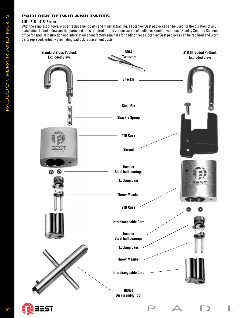# **PADLOCK REPAIR AND PARTS**

#### **11B – 21B – 41B Series**

With the simplest of tools, proper replacement parts and minimal training, all Stanley/Best padlocks can be used for the duration of any installation. Listed below are the parts and tools required for the various series of padlocks. Contact your local Stanley Security Solutions office for special instruction and information about factory seminars for padlock repair. Stanley/Best padlocks can be repaired and worn parts replaced, virtually eliminating padlock replacement costs.

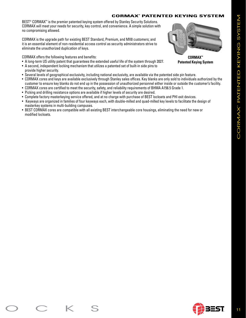# **CORMAX™ PATENTED KEYING SYSTEM**

BEST<sup>®</sup> CORMAX<sup>™</sup> is the premier patented keying system offered by Stanley Security Solutions. CORMAX will meet your needs for security, key control, and convenience. A simple solution with no compromising allowed.

CORMAX is the upgrade path for existing BEST Standard, Premium, and MX8 customers; and it is an essential element of non-residential access control as security administrators strive to eliminate the unauthorized duplication of keys.

CORMAX offers the following features and benefits:

- A long-term US utility patent that guarantees the extended useful life of the system through 2027.
- A second, independent locking mechanism that utilizes a patented set of built-in side pins to provide higher security.
- Several levels of geographical exclusivity, including national exclusivity, are available via the patented side pin feature.
- CORMAX cores and keys are available exclusively through Stanley sales offices. Key blanks are only sold to individuals authorized by the customer to ensure key blanks do not end up in the possession of unauthorized personnel either inside or outside the customer's facility.
- CORMAX cores are certified to meet the security, safety, and reliability requirements of BHMA A156.5 Grade 1.
- Picking and drilling resistance options are available if higher levels of security are desired.
- Complete factory masterkeying service offered, and at no charge with purchase of BEST locksets and PHI exit devices.
- Keyways are organized in families of four keyways each, with double-milled and quad-milled key levels to facilitate the design of masterkey systems in multi-building campuses.
- BEST CORMAX cores are compatible with all existing BEST interchangeable core housings, eliminating the need for new or modified locksets.



**Patented Keying System**